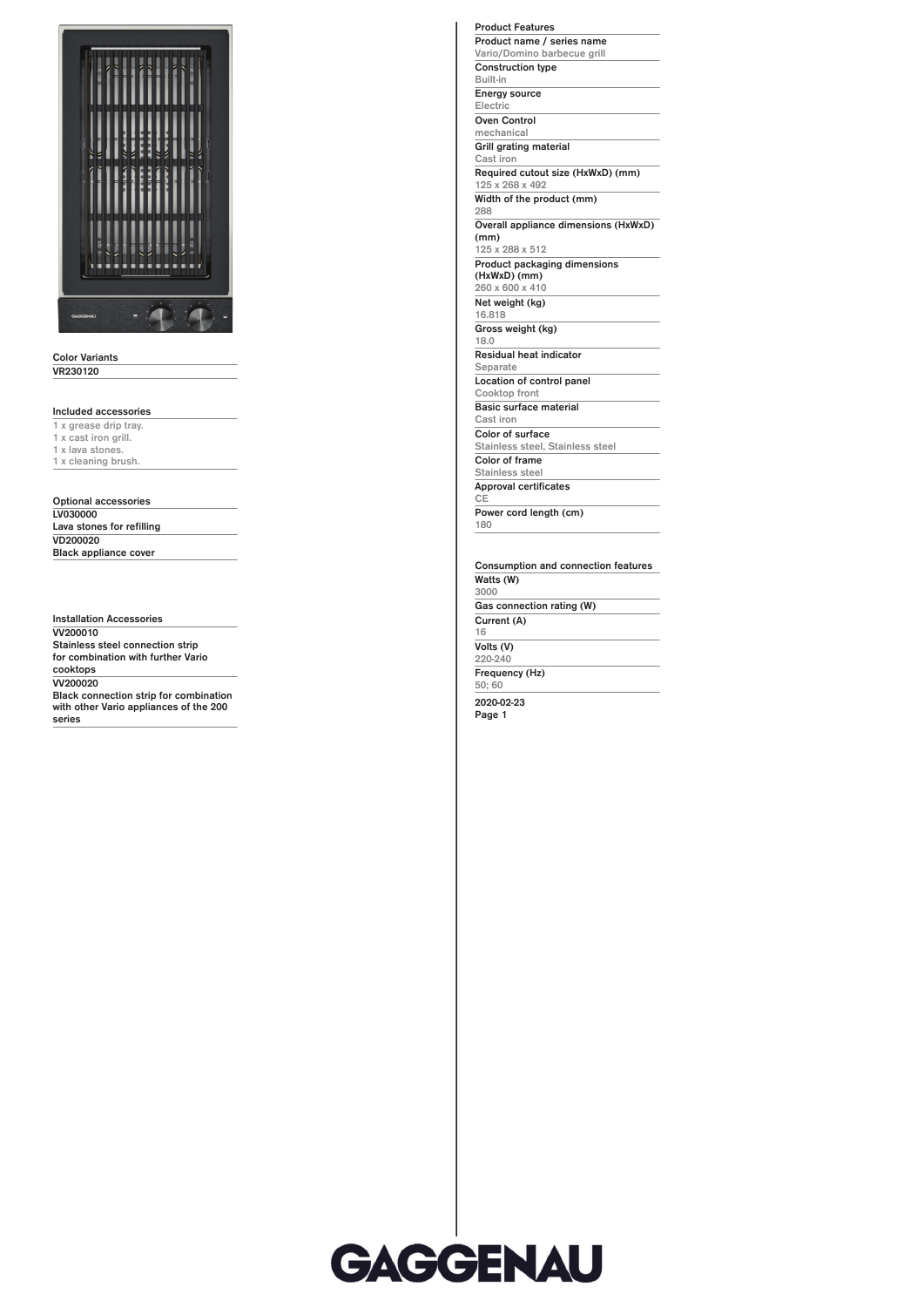

## **Color Variants VR230120**

**Included accessories**

**1 x grease drip tray. 1 x cast iron grill. 1 x lava stones. 1 x cleaning brush.**

**Optional accessories LV030000 Lava stones for refilling VD200020 Black appliance cover**

**Installation Accessories VV200010 Stainless steel connection strip for combination with further Vario cooktops VV200020 Black connection strip for combination with other Vario appliances of the 200 series**

**Product name / series name Vario/Domino barbecue grill Construction type Built-in Energy source Electric Oven Control mechanical Grill grating material Cast iron Required cutout size (HxWxD) (mm) 125 x 268 x 492 Width of the product (mm) 288 Overall appliance dimensions (HxWxD) (mm) 125 x 288 x 512 Product packaging dimensions (HxWxD) (mm) 260 x 600 x 410 Net weight (kg) 16.818 Gross weight (kg) 18.0 Residual heat indicator Separate Location of control panel Cooktop front Basic surface material Cast iron Color of surface Stainless steel, Stainless steel Color of frame Stainless steel Approval certificates CE Power cord length (cm) 180**

**Product Features**

**Consumption and connection features Watts (W) 3000 Gas connection rating (W) Current (A) 16 Volts (V) 220-240 Frequency (Hz) 50; 60 2020-02-23**

**Page 1**